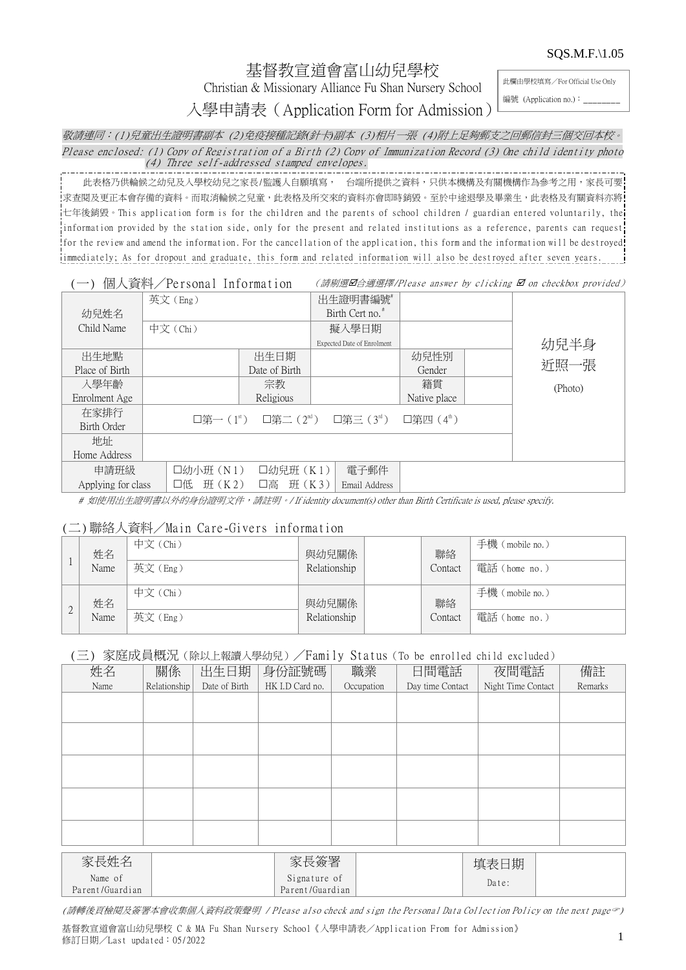SQS.M.F.\1.05

# 基督教宣道會富山幼兒學校

Christian & Missionary Alliance Fu Shan Nursery School

此欄由學校填寫/For Official Use Only

入學申請表(Application Form for Admission)

編號 (Application no.):

敬請連同:(1)兒童出生證明書副本 (2)免疫接種記錄*(*針卡*)*副本 (3)相片一張 (4)附上足夠郵支之回郵信封三個交回本校。 Please enclosed: (1) Copy of Registration of a Birth (2) Copy of Immunization Record (3) One child identity photo (4) Three self-addressed stamped envelopes.

此表格乃供輪候之幼兒及入學校幼兒之家長/監護人自願填寫, 台端所提供之資料,只供本機構及有關機構作為參考之用,家長可要 求查閱及更正本會存備的資料。而取消輪候之兒童,此表格及所交來的資料亦會即時銷毀。至於中途退學及畢業生,此表格及有關資料亦將! 七年後銷毀。This application formis for the children and the parents of school children / guardian entered voluntarily, the information provided by the station side, only for the present and related institutions as a reference, parents can request for the review and amend the information. For the cancellation of the application, this form and the information will be destroyed! immediately; As for dropout and graduate, this form and related information will also be destroyed after seven years.

#### (一) 個人資料/Personal Information (請剔選口合適選擇/Please answer by clicking  $\Box$  on checkbox provided)

|                    | 英文(Eng)     |               | 出生證明書編號                                                           |                       |         |
|--------------------|-------------|---------------|-------------------------------------------------------------------|-----------------------|---------|
| 幼兒姓名               |             |               | Birth Cert no. <sup>#</sup>                                       |                       |         |
| Child Name         | 中文 (Chi)    |               |                                                                   |                       |         |
|                    |             |               | Expected Date of Enrolment                                        |                       | 幼兒半身    |
| 出生地點               |             | 出生日期          |                                                                   | 幼兒性別                  |         |
| Place of Birth     |             | Date of Birth |                                                                   | Gender                | 近照一張    |
| 入學年齡               |             | 宗教            |                                                                   | 籍貫                    | (Photo) |
| Enrolment Age      |             | Religious     |                                                                   | Native place          |         |
| 在家排行               |             |               | 口第一 $(1^{\text{st}})$ 口第二 $(2^{\text{nd}})$ 口第三 $(3^{\text{rd}})$ | 口第四 $(4^{\text{th}})$ |         |
| Birth Order        |             |               |                                                                   |                       |         |
| 地址                 |             |               |                                                                   |                       |         |
| Home Address       |             |               |                                                                   |                       |         |
| 申請班級               | □幼小班 (N1)   | □幼兒班 (K1)     | 電子郵件                                                              |                       |         |
| Applying for class | H(K2)<br>口低 | 班 (K3)<br>口高  | Email Address                                                     |                       |         |

# 如使用出生證明書以外的身份證明文件,請註明。/ If identity document(s) other than Birth Certificate is used, please specify.

### (二)聯絡人資料/Main Care-Giversinformation

|           | 姓名   | 中文 (Chi) | 與幼兒關係        | 聯絡      | 手機 (mobile no.) |
|-----------|------|----------|--------------|---------|-----------------|
|           | Name | 英文(Eng)  | Relationship | Contact | 電話 (home no.)   |
| $\bigcap$ | 姓名   | 中文 (Chi) | 與幼兒關係        | 聯絡      | 手機 (mobile no.) |
| ∠         | Name | 英文(Eng)  | Relationship | Contact | 電話 (home no.)   |

### (三)家庭成員概況(除以上報讀入學幼兒)/Family Status(To be enrolled child excluded)

| 姓名                         | 關係           | 出生日期          | 身份証號碼                           | 職業         | 日間電話             | 夜間電話               | 備註      |
|----------------------------|--------------|---------------|---------------------------------|------------|------------------|--------------------|---------|
| Name                       | Relationship | Date of Birth | HK I.D Card no.                 | Occupation | Day time Contact | Night Time Contact | Remarks |
|                            |              |               |                                 |            |                  |                    |         |
|                            |              |               |                                 |            |                  |                    |         |
|                            |              |               |                                 |            |                  |                    |         |
|                            |              |               |                                 |            |                  |                    |         |
|                            |              |               |                                 |            |                  |                    |         |
|                            |              |               |                                 |            |                  |                    |         |
|                            |              |               |                                 |            |                  |                    |         |
|                            |              |               |                                 |            |                  |                    |         |
|                            |              |               |                                 |            |                  |                    |         |
|                            |              |               |                                 |            |                  |                    |         |
| 家長姓名                       |              |               | 家長簽署                            |            |                  | 填表日期               |         |
|                            |              |               |                                 |            |                  |                    |         |
| Name of<br>Parent/Guardian |              |               | Signature of<br>Parent/Guardian |            |                  | Date:              |         |
|                            |              |               |                                 |            |                  |                    |         |

(請轉後頁檢閱及簽署本會收集個人資料政策聲明 / Please also check and sign the Personal DataCollection Policy on the next page?)